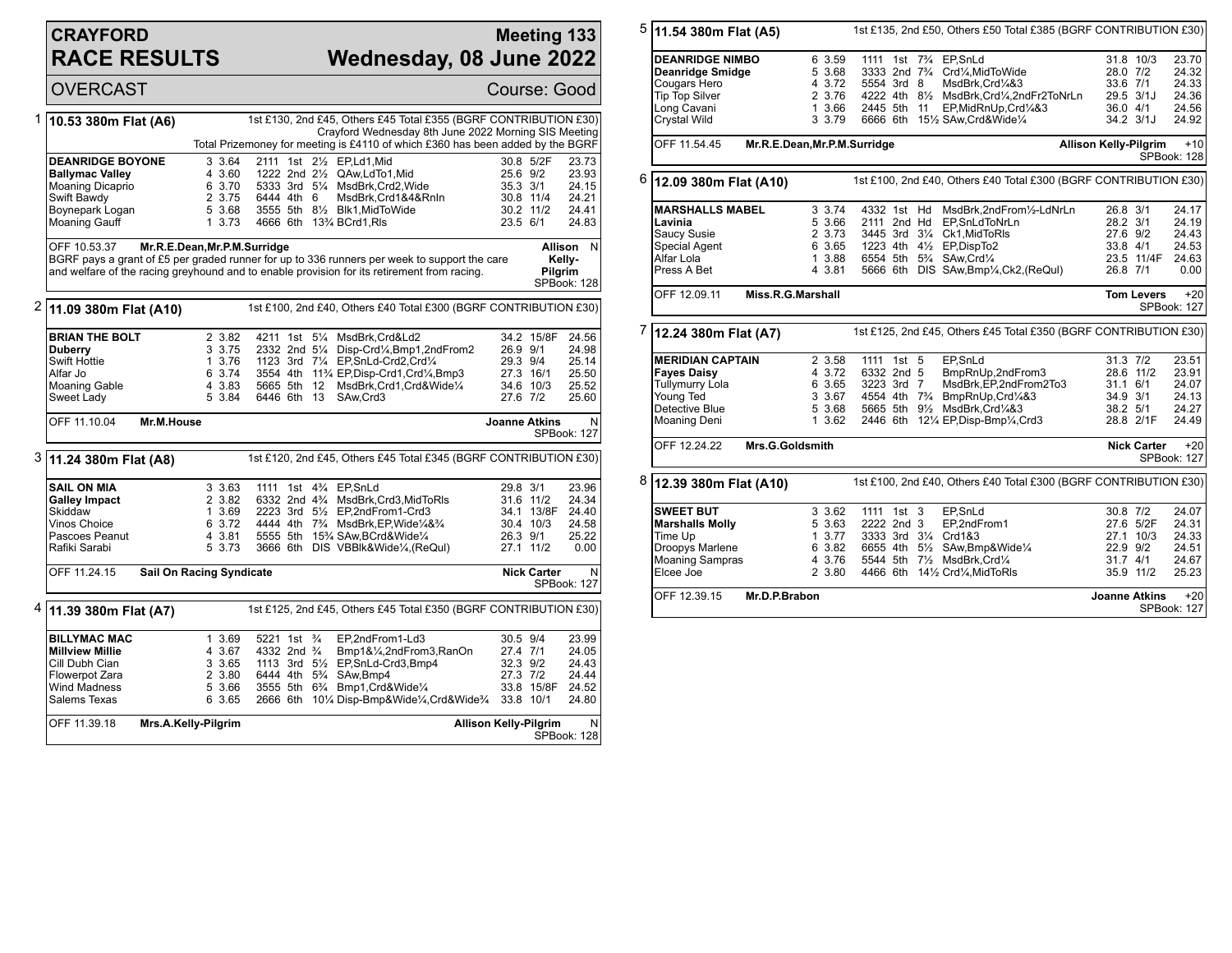## **CRAYFORD RACE RESULTS**

## **Meeting 133 Wednesday, 08 June 2022**

OVERCAST Course: Good 1 **10.53 380m Flat (A6)** 1st £130, 2nd £45, Others £45 Total £355 (BGRF CONTRIBUTION £30) Crayford Wednesday 8th June 2022 Morning SIS Meeting Total Prizemoney for meeting is £4110 of which £360 has been added by the BGRF **DEANRIDGE BOYONE** 3 3.64 2111 1st 2<sup>1</sup>/<sub>2</sub> EP,Ld1,Mid 30.8 5/2F 23.73<br> **Ballymac Valley** 4 3.60 1222 2nd 2<sup>1</sup>/<sub>2</sub> QAw,LdTo1,Mid 25.6 9/2 23.93 **Ballymac Valley** 4 3.60 1222 2nd 2<sup>1</sup>/<sub>2</sub> QAw,LdTo1,Mid 25.6 9/2 23.93<br>Moaning Dicaprio 6 3.70 5333 3rd 5<sup>1</sup>/<sub>4</sub> MsdBrk,Crd2,Wide 35.3 3/1 24.15 Moaning Dicaprio 6 3.70 5333 3rd 5¼ MsdBrk,Crd2,Wide 35.3 3/1 24.15 Swift Bawdy 2 3.75 6444 4th 6 MsdBrk,Crd1&4&RnIn 30.8 11/4 24.21 Boynepark Logan 5 3.68 3555 5th 8½ Blk1,MidToWide 30.2 11/2 24.41 Moaning Gauff **1 3.73 4666 6th 13**<sup>3</sup>4 BCrd1,Rls 23.5 6/1 24.83 OFF 10.53.37 **Mr.R.E.Dean,Mr.P.M.Surridge** BGRF pays a grant of £5 per graded runner for up to 336 runners per week to support the care and welfare of the racing greyhound and to enable provision for its retirement from racing. **Allison** N **Kelly-Pilgrim** SPBook: 128 2 **11.09 380m Flat (A10)** 1st £100, 2nd £40, Others £40 Total £300 (BGRF CONTRIBUTION £30) **BRIAN THE BOLT** 2 3.82 4211 1st 5<sup>1</sup>/<sub>4</sub> MsdBrk,Crd&Ld2 34.2 15/8F 24.56<br> **Duberry** 3 3.75 2332 2nd 5<sup>1</sup>/<sub>4</sub> Disp-Crd<sup>1</sup>/<sub>4</sub>,Bmp1,2ndFrom2 26.9 9/1 24.98 **Duberry** 3 3.75 2332 2nd 5<sup>1</sup>/<sub>4</sub> Disp-Crd<sup>1</sup>/<sub>4</sub>,Bmp1,2ndFrom2 26.9 9/1<br>Swift Hottie 3.76 1123 3rd 7<sup>1</sup>/<sub>4</sub> EP,SnLd-Crd2,Crd<sup>1</sup>/<sub>4</sub> 29.3 9/4 Swift Hottie 1 3.76 1123 3rd 71/4 EP, SnLd-Crd2, Crd1/4 29.3 9/4 25.14<br>Alfar Jo 6 3.74 3554 4th 11<sup>3</sup>/4 EP, Disp-Crd1, Crd1/4, Bmp3 27.3 16/1 25.50 Alfar Jo 6 3.74 3554 4th 11¾ EP,Disp-Crd1,Crd¼,Bmp3 27.3 16/1 25.50 Moaning Gable 4 3.83 5665 5th 12 MsdBrk,Crd1,Crd&Wide¼ 34.6 10/3 25.52 6446 6th 13 SAw,Crd3 OFF 11.10.04 **Mr.M.House Joanne Atkins** N SPBook: 127 3 **11.24 380m Flat (A8)** 1st £120, 2nd £45, Others £45 Total £345 (BGRF CONTRIBUTION £30) **SAIL ON MIA** 3 3.63 1111 1st 4<sup>2</sup>/<sub>4</sub> EP, SnLd 29.8 3/1 23.96<br> **Galley Impact** 2 3.82 6332 2nd 4<sup>2</sup>/<sub>4</sub> MsdBrk, Crd3, MidToRIs 31.6 11/2 24.34 **Galley Impact** 2 3.82 6332 2nd 4<sup>3</sup>/<sub>4</sub> MsdBrk,Crd3,MidToRls 31.6 11/2 24.34<br>Skiddaw 34.1 13/8F 24.40 Skiddaw 1 3.69 2223 3rd 5½ EP,2ndFrom1-Crd3 34.1 13/8F 24.40<br>1 30.4 37.7 4444 4th 7¼ MsdBrk.EP.Wide¼&% 30.4 10/3 24.58 Vinos Choice 6 3.72 4444 4th 7¾ MsdBrk,EP,Wide¼&¾ 30.4 10/3 24.58 Pascoes Peanut 4 3.81 5555 5th 15¾ SAw,BCrd&Wide¼ 26.3 9/1 25.22 3666 6th DIS VBBIk&Wide¼,(ReQul) OFF 11.24.15 **Sail On Racing Syndicate Nick Carter** N SPBook: 127 4 **11.39 380m Flat (A7)** 1st £125, 2nd £45, Others £45 Total £350 (BGRF CONTRIBUTION £30) **BILLYMAC MAC** 1 3.69 5221 1st ¾ EP,2ndFrom1-Ld3 30.5 9/4 23.99<br>Millview Millie 4 3.67 4332 2nd ¾ Bmp1&¼.2ndFrom3.RanOn 27.4 7/1 24.05 **Millview Millie** 4 3.67 4332 2nd ¾ Bmp1&¼,2ndFrom3,RanOn 27.4 7/1 24.05<br>Cill Dubh Cian 3 3.65 1113 3rd 5½ EP,SnLd-Crd3,Bmp4 32.3 9/2 24.43 Cill Dubh Cian 3 3.65 1113 3rd 5½ EP,SnLd-Crd3,Bmp4 32.3 9/2 24.43 Flowerpot Zara 2 3.80 6444 4th 5¾ SAw,Bmp4 27.3 7/2 24.44 Wind Madness 5 3.66 3555 5th 6¾ Bmp1,Crd&Wide¼ 33.8 15/8F 24.52 2666 6th 10¼ Disp-Bmp&Wide¼,Crd&Wide¾ 33.8 10/1 OFF 11.39.18 **Mrs.A.Kelly-Pilgrim Allison Kelly-Pilgrim** N SPBook: 128

| 5 | 11.54 380m Flat (A5)                       |                                                                                           |                                                                             |                                                      | 1st £135, 2nd £50, Others £50 Total £385 (BGRF CONTRIBUTION £30)                          |          |                       |                      |  |
|---|--------------------------------------------|-------------------------------------------------------------------------------------------|-----------------------------------------------------------------------------|------------------------------------------------------|-------------------------------------------------------------------------------------------|----------|-----------------------|----------------------|--|
|   | <b>DEANRIDGE NIMBO</b><br>Deanridge Smidge | 6 3.59<br>5 3.68                                                                          | 1111 1st 73/4 EP, SnLd                                                      |                                                      | 3333 2nd 73/4 Crd1/4, MidToWide                                                           | 28.0 7/2 | 31.8 10/3             | 23.70<br>24.32       |  |
|   | Cougars Hero                               | 4 3.72                                                                                    | 5554 3rd 8                                                                  |                                                      | MsdBrk, Crd1/4&3                                                                          |          | 33.6 7/1              | 24.33                |  |
|   | <b>Tip Top Silver</b>                      | 2 3.76                                                                                    |                                                                             |                                                      | 4222 4th 81/2 MsdBrk, Crd1/4, 2nd Fr2ToNrLn                                               |          | 29.5 3/1J             | 24.36                |  |
|   | Long Cavani                                | 1 3.66                                                                                    |                                                                             |                                                      | 2445 5th 11 EP, MidRnUp, Crd1/4&3                                                         |          | 36.0 4/1              | 24.56                |  |
|   | Crystal Wild                               | 3 3.79                                                                                    |                                                                             |                                                      | 6666 6th 151/2 SAw, Crd& Wide1/4                                                          |          | 34.2 3/1J             | 24.92                |  |
|   | OFF 11.54.45                               | Mr.R.E.Dean, Mr.P.M.Surridge                                                              |                                                                             | $+10$<br><b>Allison Kelly-Pilgrim</b><br>SPBook: 128 |                                                                                           |          |                       |                      |  |
| 6 |                                            | 1st £100, 2nd £40, Others £40 Total £300 (BGRF CONTRIBUTION £30)<br>12.09 380m Flat (A10) |                                                                             |                                                      |                                                                                           |          |                       |                      |  |
|   | <b>MARSHALLS MABEL</b>                     | 3 3.74                                                                                    |                                                                             |                                                      | 4332 1st Hd MsdBrk,2ndFrom1/2-LdNrLn                                                      | 26.8 3/1 |                       | 24.17                |  |
|   | Lavinia                                    | 5 3.66                                                                                    |                                                                             |                                                      | 2111 2nd Hd EP, SnLdToNrLn                                                                | 28.2 3/1 |                       | 24.19                |  |
|   | Saucy Susie                                | 2 3.73                                                                                    |                                                                             |                                                      | 3445 3rd 31/4 Ck1, Mid To RIs                                                             | 27.6 9/2 |                       | 24.43                |  |
|   | Special Agent<br>Alfar Lola                | 6 3.65<br>1 3.88                                                                          | 6554 5th 5 <sup>3</sup> / <sub>4</sub> SAw, Crd <sup>1</sup> / <sub>4</sub> |                                                      | 1223 4th 41/2 EP, DispTo2                                                                 | 33.8 4/1 | 23.5 11/4F            | 24.53<br>24.63       |  |
|   | Press A Bet                                | 4 3.81                                                                                    |                                                                             |                                                      | 5666 6th DIS SAw, Bmp1/4, Ck2, (ReQuI)                                                    | 26.8 7/1 |                       | 0.00                 |  |
|   |                                            |                                                                                           |                                                                             |                                                      |                                                                                           |          |                       |                      |  |
|   | OFF 12.09.11                               | Miss.R.G.Marshall                                                                         |                                                                             |                                                      |                                                                                           |          | <b>Tom Levers</b>     | $+20$<br>SPBook: 127 |  |
| 7 | 12.24 380m Flat (A7)                       |                                                                                           |                                                                             |                                                      | 1st £125, 2nd £45, Others £45 Total £350 (BGRF CONTRIBUTION £30)                          |          |                       |                      |  |
|   | <b>MERIDIAN CAPTAIN</b>                    | 2 3.58                                                                                    | 1111 1st 5                                                                  |                                                      | EP.SnLd                                                                                   | 31.3 7/2 |                       | 23.51                |  |
|   | <b>Fayes Daisy</b>                         | 4 3.72                                                                                    | 6332 2nd 5                                                                  |                                                      | BmpRnUp,2ndFrom3                                                                          |          | 28.6 11/2             | 23.91                |  |
|   | <b>Tullymurry Lola</b>                     | 6 3.65                                                                                    | 3223 3rd 7                                                                  |                                                      | MsdBrk.EP.2ndFrom2To3                                                                     | 31.1 6/1 |                       | 24.07                |  |
|   | Young Ted                                  |                                                                                           |                                                                             |                                                      | 3 3.67 4554 4th 7 <sup>3</sup> / <sub>4</sub> BmpRnUp, Crd <sup>1</sup> / <sub>4</sub> &3 | 34.9 3/1 |                       | 24.13                |  |
|   | Detective Blue                             | 5 3.68                                                                                    |                                                                             |                                                      | 5665 5th 91/2 MsdBrk, Crd1/4&3                                                            |          | 38.2 5/1              | 24.27                |  |
|   | Moaning Deni                               | 1, 3.62                                                                                   |                                                                             |                                                      | 2446 6th 121/4 EP, Disp-Bmp1/4, Crd3                                                      |          | 28.8 2/1F             | 24.49                |  |
|   | OFF 12.24.22                               | Mrs.G.Goldsmith                                                                           |                                                                             |                                                      |                                                                                           |          | <b>Nick Carter</b>    | $+20$<br>SPBook: 127 |  |
| 8 | 12.39 380m Flat (A10)                      |                                                                                           |                                                                             |                                                      | 1st £100, 2nd £40, Others £40 Total £300 (BGRF CONTRIBUTION £30)                          |          |                       |                      |  |
|   | <b>SWEET BUT</b>                           | 3 3.62                                                                                    | 1111 1st 3                                                                  |                                                      | EP,SnLd                                                                                   |          | 30.8 7/2              | 24.07                |  |
|   | <b>Marshalls Molly</b>                     | 5 3.63                                                                                    | 2222 2nd 3                                                                  |                                                      | EP,2ndFrom1                                                                               |          | 27.6 5/2F             | 24.31                |  |
|   | Time Up                                    | 1, 3.77                                                                                   | 3333 3rd 31/4 Crd1&3                                                        |                                                      |                                                                                           |          | 27.1 10/3             | 24.33                |  |
|   | Droopys Marlene                            | 6 3.82                                                                                    |                                                                             |                                                      | 6655 4th 51/2 SAw, Bmp& Wide 1/4                                                          | 22.9 9/2 |                       | 24.51                |  |
|   | <b>Moaning Sampras</b><br>Elcee Joe        | 4 3.76<br>2 3.80                                                                          |                                                                             |                                                      | 5544 5th 71/2 MsdBrk, Crd1/4<br>4466 6th 141/2 Crd1/4, MidToRIs                           |          | 31.7 4/1<br>35.9 11/2 | 24.67<br>25.23       |  |
|   |                                            |                                                                                           |                                                                             |                                                      |                                                                                           |          |                       |                      |  |
|   | OFF 12.39.15<br>Mr.D.P.Brabon              | <b>Joanne Atkins</b>                                                                      |                                                                             | $+20$<br>SPBook: 127                                 |                                                                                           |          |                       |                      |  |